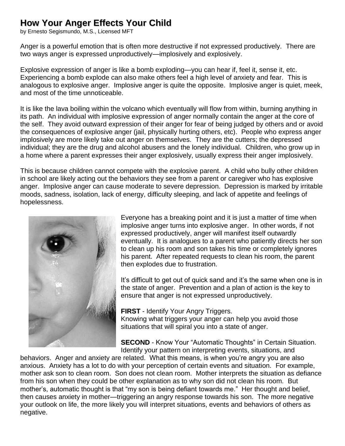## **How Your Anger Effects Your Child**

by Ernesto Segismundo, M.S., Licensed MFT

Anger is a powerful emotion that is often more destructive if not expressed productively. There are two ways anger is expressed unproductively—implosively and explosively.

Explosive expression of anger is like a bomb exploding—you can hear if, feel it, sense it, etc. Experiencing a bomb explode can also make others feel a high level of anxiety and fear. This is analogous to explosive anger. Implosive anger is quite the opposite. Implosive anger is quiet, meek, and most of the time unnoticeable.

It is like the lava boiling within the volcano which eventually will flow from within, burning anything in its path. An individual with implosive expression of anger normally contain the anger at the core of the self. They avoid outward expression of their anger for fear of being judged by others and or avoid the consequences of explosive anger (jail, physically hurting others, etc). People who express anger implosively are more likely take out anger on themselves. They are the cutters; the depressed individual; they are the drug and alcohol abusers and the lonely individual. Children, who grow up in a home where a parent expresses their anger explosively, usually express their anger implosively.

This is because children cannot compete with the explosive parent. A child who bully other children in school are likely acting out the behaviors they see from a parent or caregiver who has explosive anger. Implosive anger can cause moderate to severe depression. Depression is marked by irritable moods, sadness, isolation, lack of energy, difficulty sleeping, and lack of appetite and feelings of hopelessness.



Everyone has a breaking point and it is just a matter of time when implosive anger turns into explosive anger. In other words, if not expressed productively, anger will manifest itself outwardly eventually. It is analogues to a parent who patiently directs her son to clean up his room and son takes his time or completely ignores his parent. After repeated requests to clean his room, the parent then explodes due to frustration.

It's difficult to get out of quick sand and it's the same when one is in the state of anger. Prevention and a plan of action is the key to ensure that anger is not expressed unproductively.

**FIRST** - Identify Your Angry Triggers. Knowing what triggers your anger can help you avoid those situations that will spiral you into a state of anger.

**SECOND** - Know Your "Automatic Thoughts" in Certain Situation. Identify your pattern on interpreting events, situations, and

behaviors. Anger and anxiety are related. What this means, is when you're angry you are also anxious. Anxiety has a lot to do with your perception of certain events and situation. For example, mother ask son to clean room. Son does not clean room. Mother interprets the situation as defiance from his son when they could be other explanation as to why son did not clean his room. But mother's, automatic thought is that "my son is being defiant towards me." Her thought and belief, then causes anxiety in mother—triggering an angry response towards his son. The more negative your outlook on life, the more likely you will interpret situations, events and behaviors of others as negative.